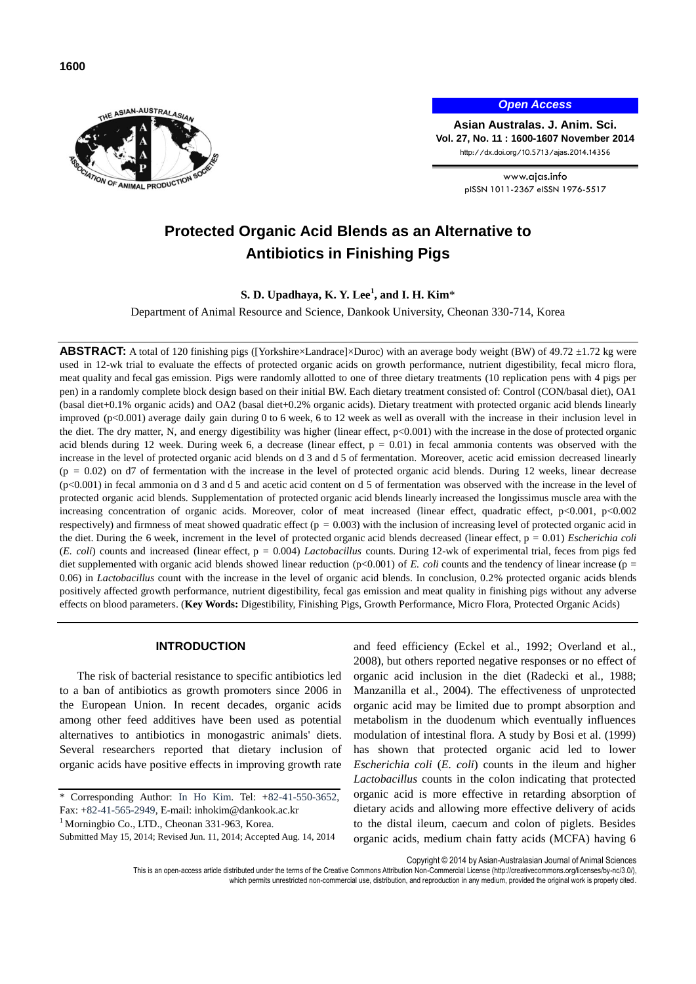



*Open Access*

**Asian Australas. J. Anim. Sci. Vol. 27, No. 11 : 1600-1607 November 2014** http://dx.doi.org/10.5713/ajas.2014.14356

> www.ajas.info pISSN 1011-2367 eISSN 1976-5517

# **Protected Organic Acid Blends as an Alternative to Antibiotics in Finishing Pigs**

**S. D. Upadhaya, K. Y. Lee<sup>1</sup> , and I. H. Kim**\*

Department of Animal Resource and Science, Dankook University, Cheonan 330-714, Korea

**ABSTRACT:** A total of 120 finishing pigs ([Yorkshire×Landrace]×Duroc) with an average body weight (BW) of 49.72 ±1.72 kg were used in 12-wk trial to evaluate the effects of protected organic acids on growth performance, nutrient digestibility, fecal micro flora, meat quality and fecal gas emission. Pigs were randomly allotted to one of three dietary treatments (10 replication pens with 4 pigs per pen) in a randomly complete block design based on their initial BW. Each dietary treatment consisted of: Control (CON/basal diet), OA1 (basal diet+0.1% organic acids) and OA2 (basal diet+0.2% organic acids). Dietary treatment with protected organic acid blends linearly improved (p<0.001) average daily gain during 0 to 6 week, 6 to 12 week as well as overall with the increase in their inclusion level in the diet. The dry matter, N, and energy digestibility was higher (linear effect, p<0.001) with the increase in the dose of protected organic acid blends during 12 week. During week 6, a decrease (linear effect,  $p = 0.01$ ) in fecal ammonia contents was observed with the increase in the level of protected organic acid blends on d 3 and d 5 of fermentation. Moreover, acetic acid emission decreased linearly  $(p = 0.02)$  on d7 of fermentation with the increase in the level of protected organic acid blends. During 12 weeks, linear decrease (p<0.001) in fecal ammonia on d 3 and d 5 and acetic acid content on d 5 of fermentation was observed with the increase in the level of protected organic acid blends. Supplementation of protected organic acid blends linearly increased the longissimus muscle area with the increasing concentration of organic acids. Moreover, color of meat increased (linear effect, quadratic effect, p<0.001, p<0.002 respectively) and firmness of meat showed quadratic effect ( $p = 0.003$ ) with the inclusion of increasing level of protected organic acid in the diet. During the 6 week, increment in the level of protected organic acid blends decreased (linear effect, p = 0.01) *Escherichia coli* (*E. coli*) counts and increased (linear effect, p = 0.004) *Lactobacillus* counts. During 12-wk of experimental trial, feces from pigs fed diet supplemented with organic acid blends showed linear reduction (p<0.001) of *E. coli* counts and the tendency of linear increase (p = 0.06) in *Lactobacillus* count with the increase in the level of organic acid blends. In conclusion, 0.2% protected organic acids blends positively affected growth performance, nutrient digestibility, fecal gas emission and meat quality in finishing pigs without any adverse effects on blood parameters. (**Key Words:** Digestibility, Finishing Pigs, Growth Performance, Micro Flora, Protected Organic Acids)

# **INTRODUCTION**

The risk of bacterial resistance to specific antibiotics led to a ban of antibiotics as growth promoters since 2006 in the European Union. In recent decades, organic acids among other feed additives have been used as potential alternatives to antibiotics in monogastric animals' diets. Several researchers reported that dietary inclusion of organic acids have positive effects in improving growth rate

\* Corresponding Author: In Ho Kim. Tel: +82-41-550-3652, Fax: +82-41-565-2949, E-mail[: inhokim@dankook.ac.kr](mailto:inhokim@dankook.ac.kr)

<sup>1</sup> Morningbio Co., LTD., Cheonan 331-963, Korea.

Submitted May 15, 2014; Revised Jun. 11, 2014; Accepted Aug. 14, 2014

and feed efficiency (Eckel et al., 1992; Overland et al., 2008), but others reported negative responses or no effect of organic acid inclusion in the diet (Radecki et al., 1988; Manzanilla et al., 2004). The effectiveness of unprotected organic acid may be limited due to prompt absorption and metabolism in the duodenum which eventually influences modulation of intestinal flora. A study by Bosi et al. (1999) has shown that protected organic acid led to lower *Escherichia coli* (*E. coli*) counts in the ileum and higher *Lactobacillus* counts in the colon indicating that protected organic acid is more effective in retarding absorption of dietary acids and allowing more effective delivery of acids to the distal ileum, caecum and colon of piglets. Besides organic acids, medium chain fatty acids (MCFA) having 6

Copyright © 2014 by Asian-Australasian Journal of Animal Sciences

This is an open-access article distributed under the terms of the Creative Commons Attribution Non-Commercial License [\(http://creativecommons.org/licenses/by-nc/3.0/\),](http://creativecommons.org/licenses/by-nc/3.0/)

which permits unrestricted non-commercial use, distribution, and reproduction in any medium, provided the original work is properly cited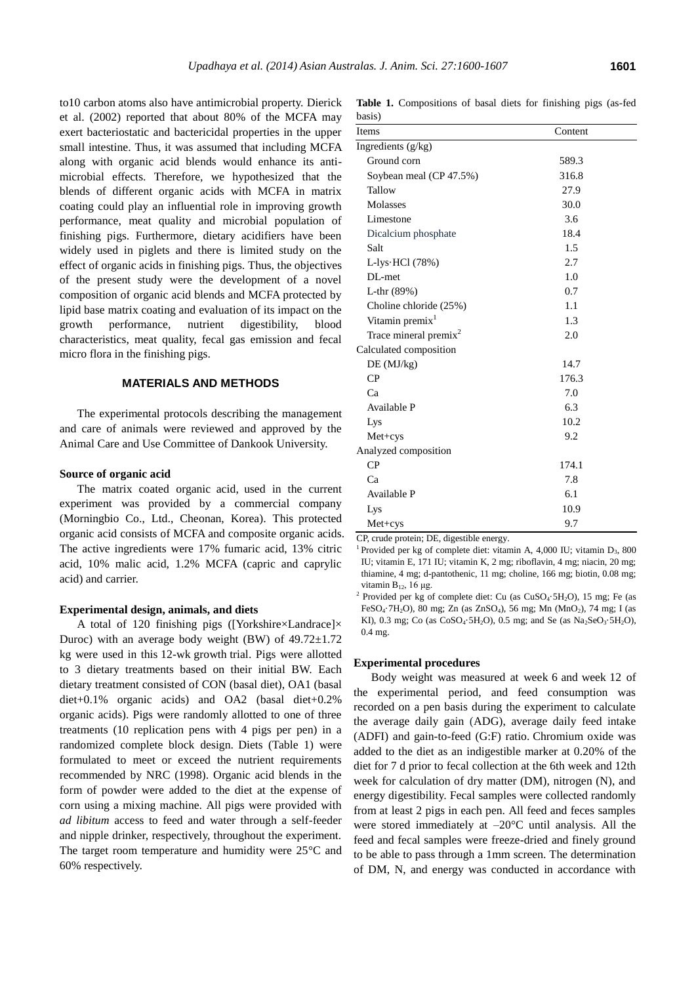to10 carbon atoms also have antimicrobial property. Dierick et al. (2002) reported that about 80% of the MCFA may exert bacteriostatic and bactericidal properties in the upper small intestine. Thus, it was assumed that including MCFA along with organic acid blends would enhance its antimicrobial effects. Therefore, we hypothesized that the blends of different organic acids with MCFA in matrix coating could play an influential role in improving growth performance, meat quality and microbial population of finishing pigs. Furthermore, dietary acidifiers have been widely used in piglets and there is limited study on the effect of organic acids in finishing pigs. Thus, the objectives of the present study were the development of a novel composition of organic acid blends and MCFA protected by lipid base matrix coating and evaluation of its impact on the growth performance, nutrient digestibility, blood characteristics, meat quality, fecal gas emission and fecal micro flora in the finishing pigs.

#### **MATERIALS AND METHODS**

The experimental protocols describing the management and care of animals were reviewed and approved by the Animal Care and Use Committee of Dankook University.

#### **Source of organic acid**

The matrix coated organic acid, used in the current experiment was provided by a commercial company (Morningbio Co., Ltd., Cheonan, Korea). This protected organic acid consists of MCFA and composite organic acids. The active ingredients were 17% fumaric acid, 13% citric acid, 10% malic acid, 1.2% MCFA (capric and caprylic acid) and carrier.

#### **Experimental design, animals, and diets**

A total of 120 finishing pigs ([Yorkshire×Landrace]× Duroc) with an average body weight (BW) of  $49.72 \pm 1.72$ kg were used in this 12-wk growth trial. Pigs were allotted to 3 dietary treatments based on their initial BW. Each dietary treatment consisted of CON (basal diet), OA1 (basal diet+0.1% organic acids) and OA2 (basal diet+0.2% organic acids). Pigs were randomly allotted to one of three treatments (10 replication pens with 4 pigs per pen) in a randomized complete block design. Diets (Table 1) were formulated to meet or exceed the nutrient requirements recommended by NRC (1998). Organic acid blends in the form of powder were added to the diet at the expense of corn using a mixing machine. All pigs were provided with *ad libitum* access to feed and water through a self-feeder and nipple drinker, respectively, throughout the experiment. The target room temperature and humidity were 25°C and 60% respectively.

**Table 1.** Compositions of basal diets for finishing pigs (as-fed basis)

| Items                             | Content |
|-----------------------------------|---------|
| Ingredients (g/kg)                |         |
| Ground corn                       | 589.3   |
| Soybean meal (CP 47.5%)           | 316.8   |
| Tallow                            | 27.9    |
| Molasses                          | 30.0    |
| Limestone                         | 3.6     |
| Dicalcium phosphate               | 18.4    |
| Salt                              | 1.5     |
| L-lys $HCl(78%)$                  | 2.7     |
| $DL$ -met                         | 1.0     |
| L-thr $(89%)$                     | 0.7     |
| Choline chloride (25%)            | 1.1     |
| Vitamin premix <sup>1</sup>       | 1.3     |
| Trace mineral premix <sup>2</sup> | 2.0     |
| Calculated composition            |         |
| DE (MJ/kg)                        | 14.7    |
| CP                                | 176.3   |
| Ca                                | 7.0     |
| Available P                       | 6.3     |
| Lys                               | 10.2    |
| $Met+cys$                         | 9.2     |
| Analyzed composition              |         |
| CP                                | 174.1   |
| Ca                                | 7.8     |
| Available P                       | 6.1     |
| Lys                               | 10.9    |
| $Met+cys$                         | 9.7     |

CP, crude protein; DE, digestible energy.

<sup>1</sup> Provided per kg of complete diet: vitamin A, 4,000 IU; vitamin D<sub>3</sub>, 800 IU; vitamin E, 171 IU; vitamin K, 2 mg; riboflavin, 4 mg; niacin, 20 mg; thiamine, 4 mg; d-pantothenic, 11 mg; choline, 166 mg; biotin, 0.08 mg; vitamin B12, 16 μg.

<sup>2</sup> Provided per kg of complete diet: Cu (as CuSO<sub>4</sub>·5H<sub>2</sub>O), 15 mg; Fe (as FeSO4·7H2O), 80 mg; Zn (as ZnSO4), 56 mg; Mn (MnO2), 74 mg; I (as KI), 0.3 mg; Co (as  $CoSO_4.5H_2O$ ), 0.5 mg; and Se (as  $Na_2SeO_3.5H_2O$ ), 0.4 mg.

## **Experimental procedures**

Body weight was measured at week 6 and week 12 of the experimental period, and feed consumption was recorded on a pen basis during the experiment to calculate the average daily gain (ADG), average daily feed intake (ADFI) and gain-to-feed (G:F) ratio. Chromium oxide was added to the diet as an indigestible marker at 0.20% of the diet for 7 d prior to fecal collection at the 6th week and 12th week for calculation of dry matter (DM), nitrogen (N), and energy digestibility. Fecal samples were collected randomly from at least 2 pigs in each pen. All feed and feces samples were stored immediately at –20°C until analysis. All the feed and fecal samples were freeze-dried and finely ground to be able to pass through a 1mm screen. The determination of DM, N, and energy was conducted in accordance with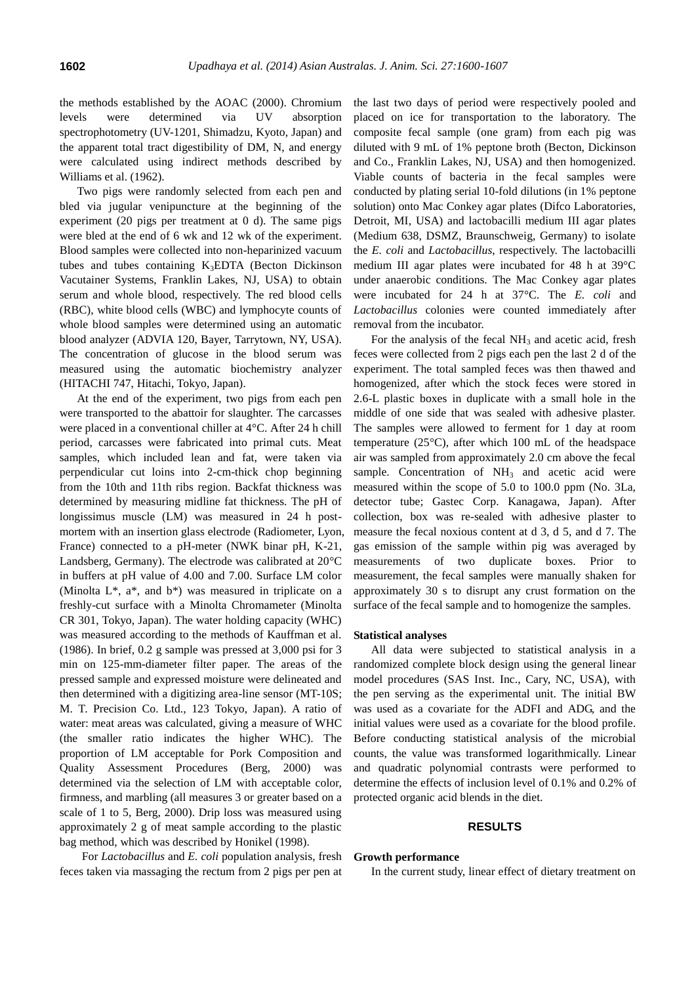the methods established by the AOAC (2000). Chromium levels were determined via UV absorption spectrophotometry (UV-1201, Shimadzu, Kyoto, Japan) and the apparent total tract digestibility of DM, N, and energy were calculated using indirect methods described by Williams et al. (1962).

Two pigs were randomly selected from each pen and bled via jugular venipuncture at the beginning of the experiment (20 pigs per treatment at 0 d). The same pigs were bled at the end of 6 wk and 12 wk of the experiment. Blood samples were collected into non-heparinized vacuum tubes and tubes containing  $K_3EDTA$  (Becton Dickinson Vacutainer Systems, Franklin Lakes, NJ, USA) to obtain serum and whole blood, respectively. The red blood cells (RBC), white blood cells (WBC) and lymphocyte counts of whole blood samples were determined using an automatic blood analyzer (ADVIA 120, Bayer, Tarrytown, NY, USA). The concentration of glucose in the blood serum was measured using the automatic biochemistry analyzer (HITACHI 747, Hitachi, Tokyo, Japan).

At the end of the experiment, two pigs from each pen were transported to the abattoir for slaughter. The carcasses were placed in a conventional chiller at 4°C. After 24 h chill period, carcasses were fabricated into primal cuts. Meat samples, which included lean and fat, were taken via perpendicular cut loins into 2-cm-thick chop beginning from the 10th and 11th ribs region. Backfat thickness was determined by measuring midline fat thickness. The pH of longissimus muscle (LM) was measured in 24 h postmortem with an insertion glass electrode (Radiometer, Lyon, France) connected to a pH-meter (NWK binar pH, K-21, Landsberg, Germany). The electrode was calibrated at 20°C in buffers at pH value of 4.00 and 7.00. Surface LM color (Minolta L\*, a\*, and b\*) was measured in triplicate on a freshly-cut surface with a Minolta Chromameter (Minolta CR 301, Tokyo, Japan). The water holding capacity (WHC) was measured according to the methods of Kauffman et al. (1986). In brief, 0.2 g sample was pressed at 3,000 psi for 3 min on 125-mm-diameter filter paper. The areas of the pressed sample and expressed moisture were delineated and then determined with a digitizing area-line sensor (MT-10S; M. T. Precision Co. Ltd., 123 Tokyo, Japan). A ratio of water: meat areas was calculated, giving a measure of WHC (the smaller ratio indicates the higher WHC). The proportion of LM acceptable for Pork Composition and Quality Assessment Procedures (Berg, 2000) was determined via the selection of LM with acceptable color, firmness, and marbling (all measures 3 or greater based on a scale of 1 to 5, Berg, 2000). Drip loss was measured using approximately 2 g of meat sample according to the plastic bag method, which was described by Honikel (1998).

For *Lactobacillus* and *E. coli* population analysis, fresh feces taken via massaging the rectum from 2 pigs per pen at

the last two days of period were respectively pooled and placed on ice for transportation to the laboratory. The composite fecal sample (one gram) from each pig was diluted with 9 mL of 1% peptone broth (Becton, Dickinson and Co., Franklin Lakes, NJ, USA) and then homogenized. Viable counts of bacteria in the fecal samples were conducted by plating serial 10-fold dilutions (in 1% peptone solution) onto Mac Conkey agar plates (Difco Laboratories, Detroit, MI, USA) and lactobacilli medium III agar plates (Medium 638, DSMZ, Braunschweig, Germany) to isolate the *E. coli* and *Lactobacillus*, respectively. The lactobacilli medium III agar plates were incubated for 48 h at 39°C under anaerobic conditions. The Mac Conkey agar plates were incubated for 24 h at 37°C. The *E. coli* and *Lactobacillus* colonies were counted immediately after removal from the incubator.

For the analysis of the fecal  $NH_3$  and acetic acid, fresh feces were collected from 2 pigs each pen the last 2 d of the experiment. The total sampled feces was then thawed and homogenized, after which the stock feces were stored in 2.6-L plastic boxes in duplicate with a small hole in the middle of one side that was sealed with adhesive plaster. The samples were allowed to ferment for 1 day at room temperature (25°C), after which 100 mL of the headspace air was sampled from approximately 2.0 cm above the fecal sample. Concentration of  $NH<sub>3</sub>$  and acetic acid were measured within the scope of 5.0 to 100.0 ppm (No. 3La, detector tube; Gastec Corp. Kanagawa, Japan). After collection, box was re-sealed with adhesive plaster to measure the fecal noxious content at d 3, d 5, and d 7. The gas emission of the sample within pig was averaged by measurements of two duplicate boxes. Prior to measurement, the fecal samples were manually shaken for approximately 30 s to disrupt any crust formation on the surface of the fecal sample and to homogenize the samples.

#### **Statistical analyses**

All data were subjected to statistical analysis in a randomized complete block design using the general linear model procedures (SAS Inst. Inc., Cary, NC, USA), with the pen serving as the experimental unit. The initial BW was used as a covariate for the ADFI and ADG, and the initial values were used as a covariate for the blood profile. Before conducting statistical analysis of the microbial counts, the value was transformed logarithmically. Linear and quadratic polynomial contrasts were performed to determine the effects of inclusion level of 0.1% and 0.2% of protected organic acid blends in the diet.

#### **RESULTS**

#### **Growth performance**

In the current study, linear effect of dietary treatment on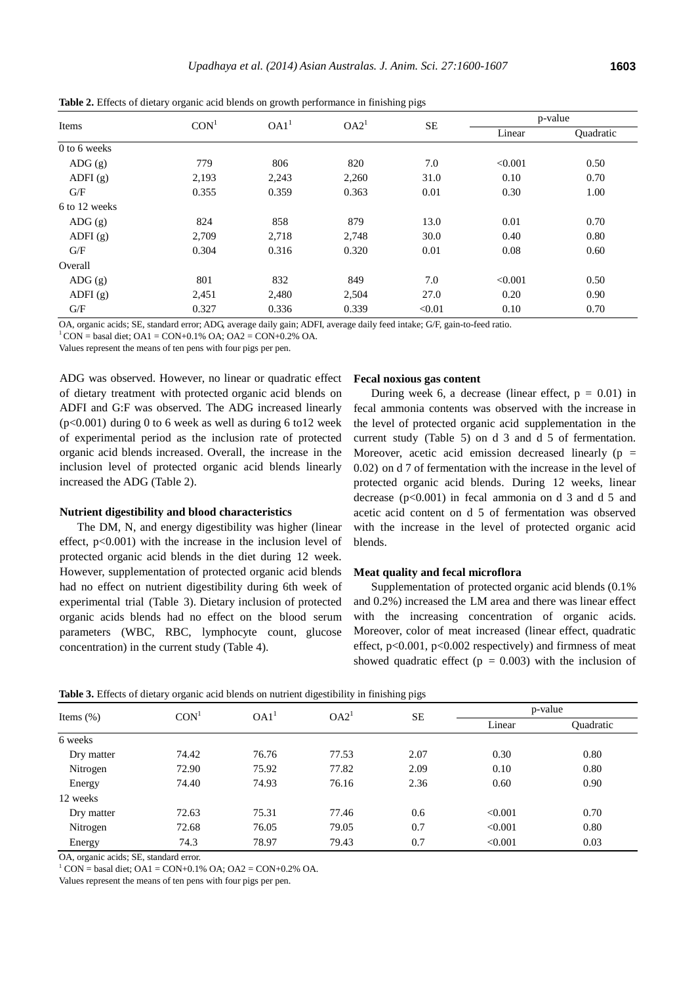|  | M<br>×<br>×<br>۹<br>۰.<br>۰. |
|--|------------------------------|
|--|------------------------------|

| Items                  | CON <sup>1</sup> | OA1 <sup>1</sup> | OA2 <sup>1</sup> | <b>SE</b> |         | p-value          |  |
|------------------------|------------------|------------------|------------------|-----------|---------|------------------|--|
|                        |                  |                  |                  |           | Linear  | <b>Quadratic</b> |  |
| 0 to 6 weeks           |                  |                  |                  |           |         |                  |  |
| ADG(g)                 | 779              | 806              | 820              | 7.0       | < 0.001 | 0.50             |  |
| ADFI $(g)$             | 2,193            | 2,243            | 2,260            | 31.0      | 0.10    | 0.70             |  |
| G/F                    | 0.355            | 0.359            | 0.363            | 0.01      | 0.30    | 1.00             |  |
| 6 to 12 weeks          |                  |                  |                  |           |         |                  |  |
| $\text{ADG}(\text{g})$ | 824              | 858              | 879              | 13.0      | 0.01    | 0.70             |  |
| ADFI $(g)$             | 2,709            | 2,718            | 2,748            | 30.0      | 0.40    | 0.80             |  |
| G/F                    | 0.304            | 0.316            | 0.320            | 0.01      | 0.08    | 0.60             |  |
| Overall                |                  |                  |                  |           |         |                  |  |
| ADG(g)                 | 801              | 832              | 849              | 7.0       | < 0.001 | 0.50             |  |
| ADFI $(g)$             | 2,451            | 2,480            | 2,504            | 27.0      | 0.20    | 0.90             |  |
| G/F                    | 0.327            | 0.336            | 0.339            | < 0.01    | 0.10    | 0.70             |  |

**Table 2.** Effects of dietary organic acid blends on growth performance in finishing pigs

OA, organic acids; SE, standard error; ADG, average daily gain; ADFI, average daily feed intake; G/F, gain-to-feed ratio.

Values represent the means of ten pens with four pigs per pen.

ADG was observed. However, no linear or quadratic effect of dietary treatment with protected organic acid blends on ADFI and G:F was observed. The ADG increased linearly  $(p<0.001)$  during 0 to 6 week as well as during 6 to 12 week of experimental period as the inclusion rate of protected organic acid blends increased. Overall, the increase in the inclusion level of protected organic acid blends linearly increased the ADG (Table 2).

# **Nutrient digestibility and blood characteristics**

The DM, N, and energy digestibility was higher (linear effect, p<0.001) with the increase in the inclusion level of protected organic acid blends in the diet during 12 week. However, supplementation of protected organic acid blends had no effect on nutrient digestibility during 6th week of experimental trial (Table 3). Dietary inclusion of protected organic acids blends had no effect on the blood serum parameters (WBC, RBC, lymphocyte count, glucose concentration) in the current study (Table 4).

#### **Fecal noxious gas content**

During week 6, a decrease (linear effect,  $p = 0.01$ ) in fecal ammonia contents was observed with the increase in the level of protected organic acid supplementation in the current study (Table 5) on d 3 and d 5 of fermentation. Moreover, acetic acid emission decreased linearly ( $p =$ 0.02) on d 7 of fermentation with the increase in the level of protected organic acid blends. During 12 weeks, linear decrease  $(p<0.001)$  in fecal ammonia on d 3 and d 5 and acetic acid content on d 5 of fermentation was observed with the increase in the level of protected organic acid blends.

#### **Meat quality and fecal microflora**

Supplementation of protected organic acid blends (0.1% and 0.2%) increased the LM area and there was linear effect with the increasing concentration of organic acids. Moreover, color of meat increased (linear effect, quadratic effect,  $p<0.001$ ,  $p<0.002$  respectively) and firmness of meat showed quadratic effect ( $p = 0.003$ ) with the inclusion of

| Table 3. Effects of dietary organic acid blends on nutrient digestibility in finishing pigs |  |  |  |
|---------------------------------------------------------------------------------------------|--|--|--|
|---------------------------------------------------------------------------------------------|--|--|--|

|       |                  |                  |                  | p-value |                  |
|-------|------------------|------------------|------------------|---------|------------------|
|       |                  |                  |                  | Linear  | <b>Ouadratic</b> |
|       |                  |                  |                  |         |                  |
| 74.42 | 76.76            | 77.53            | 2.07             | 0.30    | 0.80             |
| 72.90 | 75.92            | 77.82            | 2.09             | 0.10    | 0.80             |
| 74.40 | 74.93            | 76.16            | 2.36             | 0.60    | 0.90             |
|       |                  |                  |                  |         |                  |
| 72.63 | 75.31            | 77.46            | 0.6              | < 0.001 | 0.70             |
| 72.68 | 76.05            | 79.05            | 0.7              | < 0.001 | 0.80             |
| 74.3  | 78.97            | 79.43            | 0.7              | < 0.001 | 0.03             |
|       | CON <sup>1</sup> | OAI <sup>T</sup> | OA2 <sup>1</sup> | SЕ      |                  |

OA, organic acids; SE, standard error.

 $1^1$  CON = basal diet; OA1 = CON+0.1% OA; OA2 = CON+0.2% OA.

Values represent the means of ten pens with four pigs per pen.

 $1^1$  CON = basal diet; OA1 = CON+0.1% OA; OA2 = CON+0.2% OA.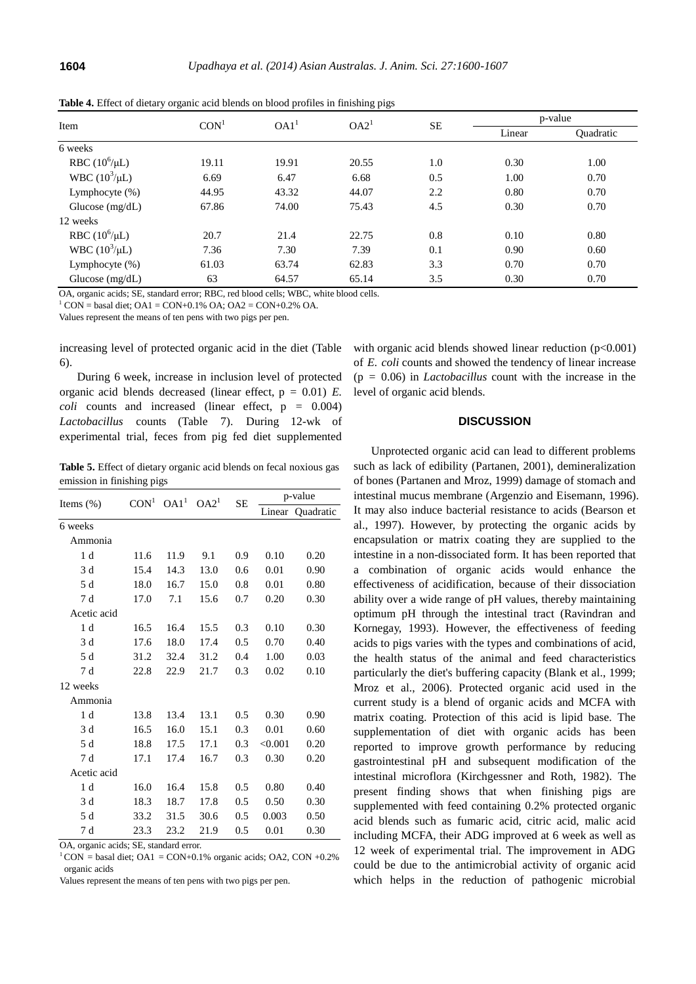| Item                      | CON <sup>1</sup> | OA1 <sup>1</sup> | OA2 <sup>1</sup> | <b>SE</b> | p-value |           |
|---------------------------|------------------|------------------|------------------|-----------|---------|-----------|
|                           |                  |                  |                  |           | Linear  | Quadratic |
| 6 weeks                   |                  |                  |                  |           |         |           |
| RBC $(10^6/\mu L)$        | 19.11            | 19.91            | 20.55            | 1.0       | 0.30    | 1.00      |
| <b>WBC</b> $(10^3/\mu L)$ | 6.69             | 6.47             | 6.68             | 0.5       | 1.00    | 0.70      |
| Lymphocyte (%)            | 44.95            | 43.32            | 44.07            | 2.2       | 0.80    | 0.70      |
| Glucose $(mg/dL)$         | 67.86            | 74.00            | 75.43            | 4.5       | 0.30    | 0.70      |
| 12 weeks                  |                  |                  |                  |           |         |           |
| RBC $(10^6/\mu L)$        | 20.7             | 21.4             | 22.75            | 0.8       | 0.10    | 0.80      |
| WBC $(10^3/\mu L)$        | 7.36             | 7.30             | 7.39             | 0.1       | 0.90    | 0.60      |
| Lymphocyte $(\%)$         | 61.03            | 63.74            | 62.83            | 3.3       | 0.70    | 0.70      |
| Glucose $(mg/dL)$         | 63               | 64.57            | 65.14            | 3.5       | 0.30    | 0.70      |

**Table 4.** Effect of dietary organic acid blends on blood profiles in finishing pigs

OA, organic acids; SE, standard error; RBC, red blood cells; WBC, white blood cells.

 $1^1$  CON = basal diet; OA1 = CON+0.1% OA; OA2 = CON+0.2% OA.

Values represent the means of ten pens with two pigs per pen.

increasing level of protected organic acid in the diet (Table 6).

During 6 week, increase in inclusion level of protected organic acid blends decreased (linear effect, p = 0.01) *E. coli* counts and increased (linear effect, p = 0.004) *Lactobacillus* counts (Table 7). During 12-wk of experimental trial, feces from pig fed diet supplemented

**Table 5.** Effect of dietary organic acid blends on fecal noxious gas emission in finishing pigs

| Items $(\%)$   | CON <sup>1</sup> | OA1 <sup>1</sup> | OA2 <sup>1</sup> | <b>SE</b> | p-value |           |
|----------------|------------------|------------------|------------------|-----------|---------|-----------|
|                |                  |                  |                  |           | Linear  | Ouadratic |
| 6 weeks        |                  |                  |                  |           |         |           |
| Ammonia        |                  |                  |                  |           |         |           |
| 1 <sub>d</sub> | 11.6             | 11.9             | 9.1              | 0.9       | 0.10    | 0.20      |
| 3 d            | 15.4             | 14.3             | 13.0             | 0.6       | 0.01    | 0.90      |
| 5 d            | 18.0             | 16.7             | 15.0             | 0.8       | 0.01    | 0.80      |
| 7 d            | 17.0             | 7.1              | 15.6             | 0.7       | 0.20    | 0.30      |
| Acetic acid    |                  |                  |                  |           |         |           |
| 1 <sub>d</sub> | 16.5             | 16.4             | 15.5             | 0.3       | 0.10    | 0.30      |
| 3 d            | 17.6             | 18.0             | 17.4             | 0.5       | 0.70    | 0.40      |
| 5 d            | 31.2             | 32.4             | 31.2             | 0.4       | 1.00    | 0.03      |
| 7 d            | 22.8             | 22.9             | 21.7             | 0.3       | 0.02    | 0.10      |
| 12 weeks       |                  |                  |                  |           |         |           |
| Ammonia        |                  |                  |                  |           |         |           |
| 1 <sub>d</sub> | 13.8             | 13.4             | 13.1             | 0.5       | 0.30    | 0.90      |
| 3 d            | 16.5             | 16.0             | 15.1             | 0.3       | 0.01    | 0.60      |
| 5 d            | 18.8             | 17.5             | 17.1             | 0.3       | < 0.001 | 0.20      |
| 7 d            | 17.1             | 17.4             | 16.7             | 0.3       | 0.30    | 0.20      |
| Acetic acid    |                  |                  |                  |           |         |           |
| 1 d            | 16.0             | 16.4             | 15.8             | 0.5       | 0.80    | 0.40      |
| 3 d            | 18.3             | 18.7             | 17.8             | 0.5       | 0.50    | 0.30      |
| 5 d            | 33.2             | 31.5             | 30.6             | 0.5       | 0.003   | 0.50      |
| 7 d            | 23.3             | 23.2             | 21.9             | 0.5       | 0.01    | 0.30      |

OA, organic acids; SE, standard error.

 $1$ CON = basal diet; OA1 = CON+0.1% organic acids; OA2, CON +0.2% organic acids

Values represent the means of ten pens with two pigs per pen.

with organic acid blends showed linear reduction  $(p<0.001)$ of *E. coli* counts and showed the tendency of linear increase (p = 0.06) in *Lactobacillus* count with the increase in the level of organic acid blends.

# **DISCUSSION**

Unprotected organic acid can lead to different problems such as lack of edibility (Partanen, 2001), demineralization of bones (Partanen and Mroz, 1999) damage of stomach and intestinal mucus membrane (Argenzio and Eisemann, 1996). It may also induce bacterial resistance to acids (Bearson et al., 1997). However, by protecting the organic acids by encapsulation or matrix coating they are supplied to the intestine in a non-dissociated form. It has been reported that a combination of organic acids would enhance the effectiveness of acidification, because of their dissociation ability over a wide range of pH values, thereby maintaining optimum pH through the intestinal tract (Ravindran and Kornegay, 1993). However, the effectiveness of feeding acids to pigs varies with the types and combinations of acid, the health status of the animal and feed characteristics particularly the diet's buffering capacity (Blank et al., 1999; Mroz et al., 2006). Protected organic acid used in the current study is a blend of organic acids and MCFA with matrix coating. Protection of this acid is lipid base. The supplementation of diet with organic acids has been reported to improve growth performance by reducing gastrointestinal pH and subsequent modification of the intestinal microflora (Kirchgessner and Roth, 1982). The present finding shows that when finishing pigs are supplemented with feed containing 0.2% protected organic acid blends such as fumaric acid, citric acid, malic acid including MCFA, their ADG improved at 6 week as well as 12 week of experimental trial. The improvement in ADG could be due to the antimicrobial activity of organic acid which helps in the reduction of pathogenic microbial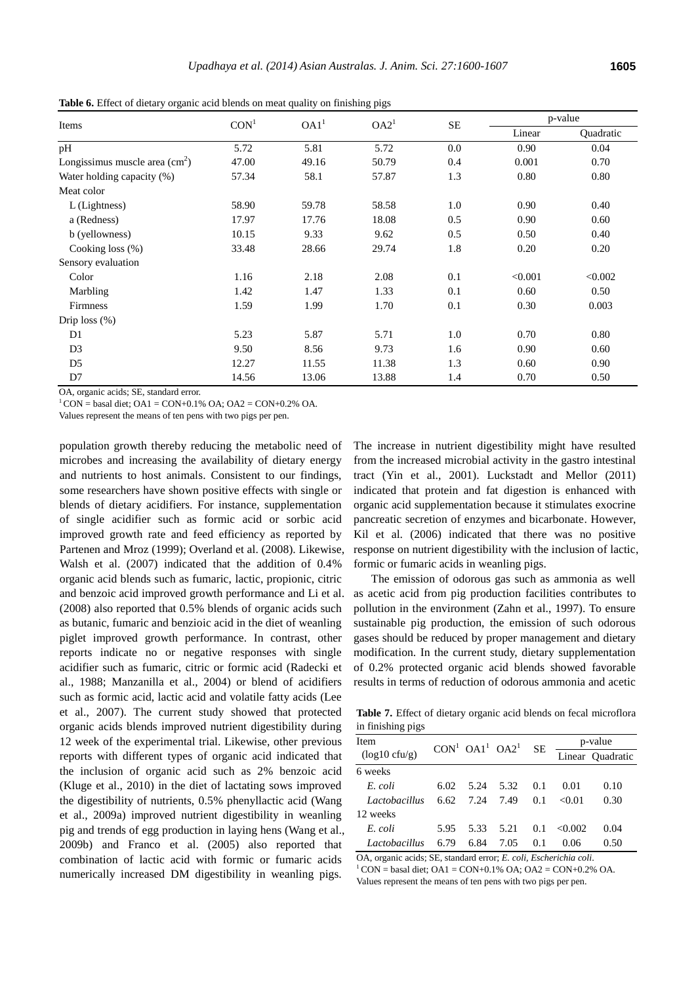| Items                           | CON <sup>1</sup> | OA1 <sup>1</sup> | O A2 <sup>1</sup> | <b>SE</b> | p-value |           |
|---------------------------------|------------------|------------------|-------------------|-----------|---------|-----------|
|                                 |                  |                  |                   |           | Linear  | Quadratic |
| pH                              | 5.72             | 5.81             | 5.72              | 0.0       | 0.90    | 0.04      |
| Longissimus muscle area $(cm2)$ | 47.00            | 49.16            | 50.79             | 0.4       | 0.001   | 0.70      |
| Water holding capacity (%)      | 57.34            | 58.1             | 57.87             | 1.3       | 0.80    | 0.80      |
| Meat color                      |                  |                  |                   |           |         |           |
| L (Lightness)                   | 58.90            | 59.78            | 58.58             | 1.0       | 0.90    | 0.40      |
| a (Redness)                     | 17.97            | 17.76            | 18.08             | 0.5       | 0.90    | 0.60      |
| b (yellowness)                  | 10.15            | 9.33             | 9.62              | 0.5       | 0.50    | 0.40      |
| Cooking loss (%)                | 33.48            | 28.66            | 29.74             | 1.8       | 0.20    | 0.20      |
| Sensory evaluation              |                  |                  |                   |           |         |           |
| Color                           | 1.16             | 2.18             | 2.08              | 0.1       | < 0.001 | < 0.002   |
| Marbling                        | 1.42             | 1.47             | 1.33              | 0.1       | 0.60    | 0.50      |
| Firmness                        | 1.59             | 1.99             | 1.70              | 0.1       | 0.30    | 0.003     |
| Drip $loss$ $%$                 |                  |                  |                   |           |         |           |
| D1                              | 5.23             | 5.87             | 5.71              | 1.0       | 0.70    | 0.80      |
| D <sub>3</sub>                  | 9.50             | 8.56             | 9.73              | 1.6       | 0.90    | 0.60      |
| D <sub>5</sub>                  | 12.27            | 11.55            | 11.38             | 1.3       | 0.60    | 0.90      |
| D7                              | 14.56            | 13.06            | 13.88             | 1.4       | 0.70    | 0.50      |

**Table 6.** Effect of dietary organic acid blends on meat quality on finishing pigs

OA, organic acids; SE, standard error.

 $1^1$  CON = basal diet; OA1 = CON+0.1% OA; OA2 = CON+0.2% OA.

Values represent the means of ten pens with two pigs per pen.

population growth thereby reducing the metabolic need of microbes and increasing the availability of dietary energy and nutrients to host animals. Consistent to our findings, some researchers have shown positive effects with single or blends of dietary acidifiers. For instance, supplementation of single acidifier such as formic acid or sorbic acid improved growth rate and feed efficiency as reported by Partenen and Mroz (1999); Overland et al. (2008). Likewise, Walsh et al. (2007) indicated that the addition of 0.4% organic acid blends such as fumaric, lactic, propionic, citric and benzoic acid improved growth performance and Li et al. (2008) also reported that 0.5% blends of organic acids such as butanic, fumaric and benzioic acid in the diet of weanling piglet improved growth performance. In contrast, other reports indicate no or negative responses with single acidifier such as fumaric, citric or formic acid (Radecki et al., 1988; Manzanilla et al., 2004) or blend of acidifiers such as formic acid, lactic acid and volatile fatty acids (Lee et al., 2007). The current study showed that protected organic acids blends improved nutrient digestibility during 12 week of the experimental trial. Likewise, other previous reports with different types of organic acid indicated that the inclusion of organic acid such as 2% benzoic acid (Kluge et al., 2010) in the diet of lactating sows improved the digestibility of nutrients, 0.5% phenyllactic acid (Wang et al., 2009a) improved nutrient digestibility in weanling pig and trends of egg production in laying hens (Wang et al., 2009b) and Franco et al. (2005) also reported that combination of lactic acid with formic or fumaric acids numerically increased DM digestibility in weanling pigs.

The increase in nutrient digestibility might have resulted from the increased microbial activity in the gastro intestinal tract (Yin et al., 2001). Luckstadt and Mellor (2011) indicated that protein and fat digestion is enhanced with organic acid supplementation because it stimulates exocrine pancreatic secretion of enzymes and bicarbonate. However, Kil et al. (2006) indicated that there was no positive response on nutrient digestibility with the inclusion of lactic, formic or fumaric acids in weanling pigs.

The emission of odorous gas such as ammonia as well as acetic acid from pig production facilities contributes to pollution in the environment (Zahn et al., 1997). To ensure sustainable pig production, the emission of such odorous gases should be reduced by proper management and dietary modification. In the current study, dietary supplementation of 0.2% protected organic acid blends showed favorable results in terms of reduction of odorous ammonia and acetic

**Table 7.** Effect of dietary organic acid blends on fecal microflora in finishing pigs

| <b>Item</b>               |      | $CON1 OA1 OA2$ |      | <b>SE</b> |        | p-value          |
|---------------------------|------|----------------|------|-----------|--------|------------------|
| $(log 10 \text{ cfty/g})$ |      |                |      |           |        | Linear Quadratic |
| 6 weeks                   |      |                |      |           |        |                  |
| E. coli                   | 6.02 | 5.24           | 5.32 | 0.1       | 0.01   | 0.10             |
| Lactobacillus             | 6.62 | 7.24           | 7.49 | 0.1       | <0.01  | 0.30             |
| 12 weeks                  |      |                |      |           |        |                  |
| E. coli                   | 5.95 | 5.33           | 5.21 | 0.1       | <0.002 | 0.04             |
| Lactobacillus             | 6.79 | 6.84           | 7.05 | 01        | 0.06   | 0.50             |

OA, organic acids; SE, standard error; *E. coli, Escherichia coli*.  $1^1$  CON = basal diet; OA1 = CON+0.1% OA; OA2 = CON+0.2% OA. Values represent the means of ten pens with two pigs per pen.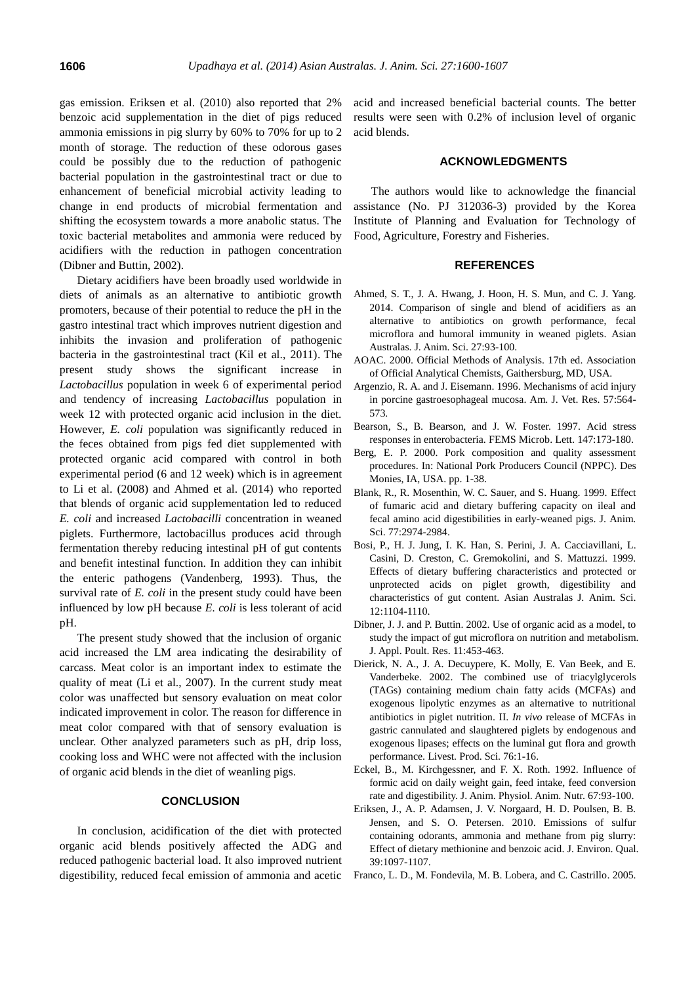gas emission. Eriksen et al. (2010) also reported that 2% benzoic acid supplementation in the diet of pigs reduced ammonia emissions in pig slurry by 60% to 70% for up to 2 month of storage. The reduction of these odorous gases could be possibly due to the reduction of pathogenic bacterial population in the gastrointestinal tract or due to enhancement of beneficial microbial activity leading to change in end products of microbial fermentation and shifting the ecosystem towards a more anabolic status. The toxic bacterial metabolites and ammonia were reduced by acidifiers with the reduction in pathogen concentration (Dibner and Buttin, 2002).

Dietary acidifiers have been broadly used worldwide in diets of animals as an alternative to antibiotic growth promoters, because of their potential to reduce the pH in the gastro intestinal tract which improves nutrient digestion and inhibits the invasion and proliferation of pathogenic bacteria in the gastrointestinal tract (Kil et al., 2011). The present study shows the significant increase in *Lactobacillus* population in week 6 of experimental period and tendency of increasing *Lactobacillus* population in week 12 with protected organic acid inclusion in the diet. However, *E. coli* population was significantly reduced in the feces obtained from pigs fed diet supplemented with protected organic acid compared with control in both experimental period (6 and 12 week) which is in agreement to Li et al. (2008) and Ahmed et al. (2014) who reported that blends of organic acid supplementation led to reduced *E. coli* and increased *Lactobacilli* concentration in weaned piglets. Furthermore, lactobacillus produces acid through fermentation thereby reducing intestinal pH of gut contents and benefit intestinal function. In addition they can inhibit the enteric pathogens (Vandenberg, 1993). Thus, the survival rate of *E. coli* in the present study could have been influenced by low pH because *E. coli* is less tolerant of acid pH.

The present study showed that the inclusion of organic acid increased the LM area indicating the desirability of carcass. Meat color is an important index to estimate the quality of meat (Li et al., 2007). In the current study meat color was unaffected but sensory evaluation on meat color indicated improvement in color. The reason for difference in meat color compared with that of sensory evaluation is unclear. Other analyzed parameters such as pH, drip loss, cooking loss and WHC were not affected with the inclusion of organic acid blends in the diet of weanling pigs.

### **CONCLUSION**

In conclusion, acidification of the diet with protected organic acid blends positively affected the ADG and reduced pathogenic bacterial load. It also improved nutrient digestibility, reduced fecal emission of ammonia and acetic acid and increased beneficial bacterial counts. The better results were seen with 0.2% of inclusion level of organic acid blends.

#### **ACKNOWLEDGMENTS**

The authors would like to acknowledge the financial assistance (No. PJ 312036-3) provided by the Korea Institute of Planning and Evaluation for Technology of Food, Agriculture, Forestry and Fisheries.

## **REFERENCES**

- Ahmed, S. T., J. A. Hwang, J. Hoon, H. S. Mun, and C. J. Yang. 2014. [Comparison of single and blend of acidifiers as an](http://www.ajas.info/journal/view.php?number=4794)  [alternative to antibiotics on growth performance, fecal](http://www.ajas.info/journal/view.php?number=4794)  [microflora and humoral immunity in weaned piglets.](http://www.ajas.info/journal/view.php?number=4794) Asian Australas. J. Anim. Sci. 27:93-100.
- AOAC. 2000. Official Methods of Analysis. 17th ed. Association of Official Analytical Chemists, Gaithersburg, MD, USA.
- Argenzio, R. A. and J. Eisemann. 1996. [Mechanisms of acid injury](http://www.ncbi.nlm.nih.gov/pubmed/8712526)  [in porcine gastroesophageal mucosa.](http://www.ncbi.nlm.nih.gov/pubmed/8712526) Am. J. Vet. Res. 57:564- 573.
- Bearson, S., B. Bearson, and J. W. Foster. 1997. [Acid stress](http://www.sciencedirect.com/science/article/pii/S0378109796005034)  [responses in enterobacteria.](http://www.sciencedirect.com/science/article/pii/S0378109796005034) FEMS Microb. Lett. 147:173-180.
- Berg, E. P. 2000. Pork composition and quality assessment procedures. In: National Pork Producers Council (NPPC). Des Monies, IA, USA. pp. 1-38.
- Blank, R., R. Mosenthin, W. C. Sauer, and S. Huang. 1999. [Effect](http://www.journalofanimalscience.org/content/77/11/2974)  [of fumaric acid and dietary buffering capacity on ileal and](http://www.journalofanimalscience.org/content/77/11/2974)  [fecal amino acid digestibilities in early-weaned pigs.](http://www.journalofanimalscience.org/content/77/11/2974) J. Anim. Sci. 77:2974-2984.
- Bosi, P., H. J. Jung, I. K. Han, S. Perini, J. A. Cacciavillani, L. Casini, D. Creston, C. Gremokolini, and S. Mattuzzi. 1999. [Effects of dietary buffering characteristics and protected or](http://www.ajas.info/journal/view.php?number=19510)  [unprotected acids on piglet growth, digestibility and](http://www.ajas.info/journal/view.php?number=19510)  characteristics [of gut content](http://www.ajas.info/journal/view.php?number=19510). Asian Australas J. Anim. Sci. 12:1104-1110.
- Dibner, J. J. and P. Buttin. 2002[. Use of organic acid as a model, to](http://japr.oxfordjournals.org/content/11/4/453.abstract)  [study the impact of gut microflora on nutrition and metabolism.](http://japr.oxfordjournals.org/content/11/4/453.abstract) J. Appl. Poult. Res. 11:453-463.
- Dierick, N. A., J. A. Decuypere, K. Molly, E. Van Beek, and E. Vanderbeke. 2002. [The combined use of](http://www.journals.elsevierhealth.com/periodicals/livest/article/S0301-6226(01)00331-1/abstract) triacylglycerols [\(TAGs\) containing medium chain fatty acids \(MCFAs\) and](http://www.journals.elsevierhealth.com/periodicals/livest/article/S0301-6226(01)00331-1/abstract)  [exogenous lipolytic enzymes as an alternative to nutritional](http://www.journals.elsevierhealth.com/periodicals/livest/article/S0301-6226(01)00331-1/abstract)  [antibiotics in piglet nutrition. II.](http://www.journals.elsevierhealth.com/periodicals/livest/article/S0301-6226(01)00331-1/abstract) *In vivo* release of MCFAs in [gastric cannulated and slaughtered piglets by endogenous and](http://www.journals.elsevierhealth.com/periodicals/livest/article/S0301-6226(01)00331-1/abstract)  [exogenous lipases; effects on the luminal gut flora and growth](http://www.journals.elsevierhealth.com/periodicals/livest/article/S0301-6226(01)00331-1/abstract)  [performance.](http://www.journals.elsevierhealth.com/periodicals/livest/article/S0301-6226(01)00331-1/abstract) Livest. Prod. Sci. 76:1-16.
- Eckel, B., M. Kirchgessner, and F. X. Roth. 1992. Influence of formic acid on daily weight gain, feed intake, feed conversion rate and digestibility. J. Anim. Physiol. Anim. Nutr. 67:93-100.
- Eriksen, J., A. P. Adamsen, J. V. Norgaard, H. D. Poulsen, B. B. Jensen, and S. O. Petersen. 2010. [Emissions of sulfur](https://dl.sciencesocieties.org/publications/jeq/abstracts/39/3/1097)  [containing odorants, ammonia and methane from pig slurry:](https://dl.sciencesocieties.org/publications/jeq/abstracts/39/3/1097)  [Effect of dietary methionine and benzoic acid.](https://dl.sciencesocieties.org/publications/jeq/abstracts/39/3/1097) J. Environ. Qual. 39:1097-1107.
- Franco, L. D., M. Fondevila, M. B. Lobera, and C. Castrillo. 2005.